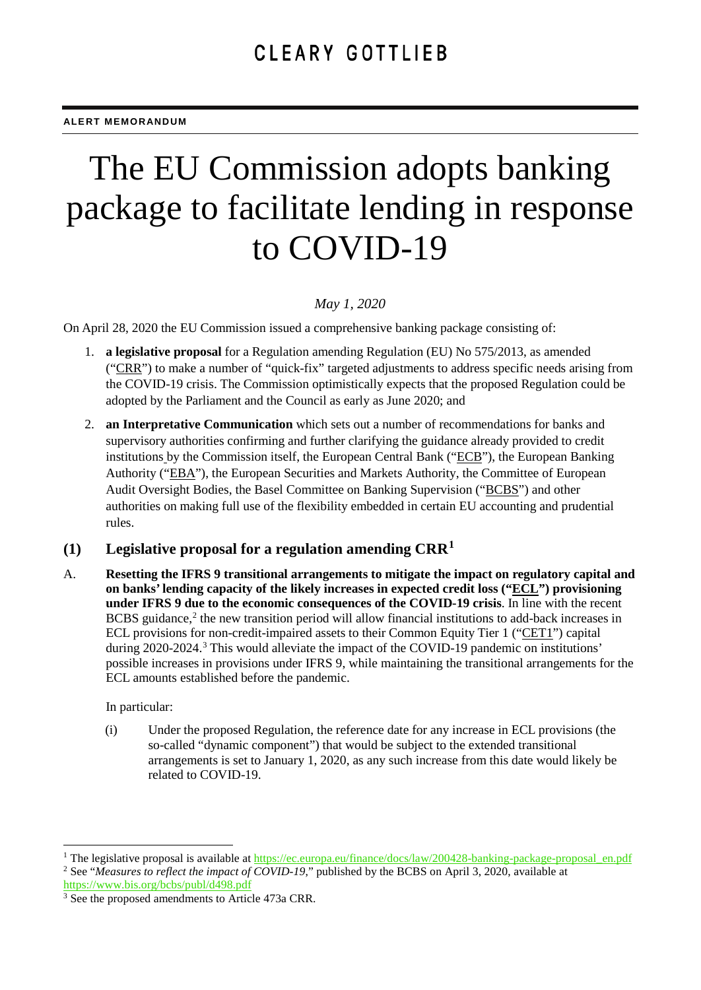# The EU Commission adopts banking package to facilitate lending in response to COVID-19

## *May 1, 2020*

On April 28, 2020 the EU Commission issued a comprehensive banking package consisting of:

- 1. **a legislative proposal** for a Regulation amending Regulation (EU) No 575/2013, as amended ("CRR") to make a number of "quick-fix" targeted adjustments to address specific needs arising from the COVID-19 crisis. The Commission optimistically expects that the proposed Regulation could be adopted by the Parliament and the Council as early as June 2020; and
- 2. **an Interpretative Communication** which sets out a number of recommendations for banks and supervisory authorities confirming and further clarifying the guidance already provided to credit institutions by the Commission itself, the European Central Bank ("ECB"), the European Banking Authority ("EBA"), the European Securities and Markets Authority, the Committee of European Audit Oversight Bodies, the Basel Committee on Banking Supervision ("BCBS") and other authorities on making full use of the flexibility embedded in certain EU accounting and prudential rules.

# **(1) Legislative proposal for a regulation amending CRR[1](#page-0-0)**

A. **Resetting the IFRS 9 transitional arrangements to mitigate the impact on regulatory capital and on banks' lending capacity of the likely increases in expected credit loss ("ECL") provisioning under IFRS 9 due to the economic consequences of the COVID-19 crisis**. In line with the recent BCBS guidance, [2](#page-0-1) the new transition period will allow financial institutions to add-back increases in ECL provisions for non-credit-impaired assets to their Common Equity Tier 1 ("CET1") capital during 2020-2024. [3](#page-0-2) This would alleviate the impact of the COVID-19 pandemic on institutions' possible increases in provisions under IFRS 9, while maintaining the transitional arrangements for the ECL amounts established before the pandemic.

In particular:

(i) Under the proposed Regulation, the reference date for any increase in ECL provisions (the so-called "dynamic component") that would be subject to the extended transitional arrangements is set to January 1, 2020, as any such increase from this date would likely be related to COVID-19.

<span id="page-0-1"></span><span id="page-0-0"></span><sup>&</sup>lt;sup>1</sup> The legislative proposal is available at [https://ec.europa.eu/finance/docs/law/200428-banking-package-proposal\\_en.pdf](https://ec.europa.eu/finance/docs/law/200428-banking-package-proposal_en.pdf) <sup>2</sup> See "*Measures to reflect the impact of COVID-19*," published by the BCBS on April 3, 2020, available at <https://www.bis.org/bcbs/publ/d498.pdf>

<span id="page-0-2"></span><sup>&</sup>lt;sup>3</sup> See the proposed amendments to Article 473a CRR.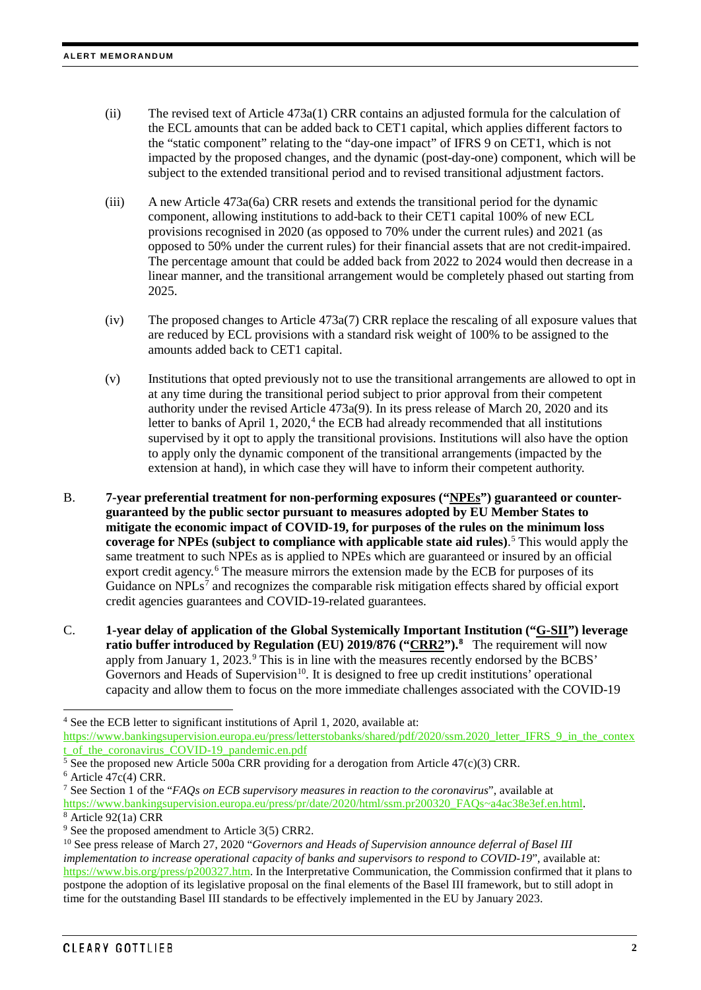- (ii) The revised text of Article 473a(1) CRR contains an adjusted formula for the calculation of the ECL amounts that can be added back to CET1 capital, which applies different factors to the "static component" relating to the "day-one impact" of IFRS 9 on CET1, which is not impacted by the proposed changes, and the dynamic (post-day-one) component, which will be subject to the extended transitional period and to revised transitional adjustment factors.
- (iii) A new Article 473a(6a) CRR resets and extends the transitional period for the dynamic component, allowing institutions to add-back to their CET1 capital 100% of new ECL provisions recognised in 2020 (as opposed to 70% under the current rules) and 2021 (as opposed to 50% under the current rules) for their financial assets that are not credit-impaired. The percentage amount that could be added back from 2022 to 2024 would then decrease in a linear manner, and the transitional arrangement would be completely phased out starting from 2025.
- (iv) The proposed changes to Article 473a(7) CRR replace the rescaling of all exposure values that are reduced by ECL provisions with a standard risk weight of 100% to be assigned to the amounts added back to CET1 capital.
- (v) Institutions that opted previously not to use the transitional arrangements are allowed to opt in at any time during the transitional period subject to prior approval from their competent authority under the revised Article 473a(9). In its press release of March 20, 2020 and its letter to banks of April 1, 2020, $4$  the ECB had already recommended that all institutions supervised by it opt to apply the transitional provisions. Institutions will also have the option to apply only the dynamic component of the transitional arrangements (impacted by the extension at hand), in which case they will have to inform their competent authority.
- B. **7-year preferential treatment for non-performing exposures ("NPEs") guaranteed or counterguaranteed by the public sector pursuant to measures adopted by EU Member States to mitigate the economic impact of COVID-19, for purposes of the rules on the minimum loss coverage for NPEs (subject to compliance with applicable state aid rules)**. [5](#page-1-1) This would apply the same treatment to such NPEs as is applied to NPEs which are guaranteed or insured by an official export credit agency.<sup>[6](#page-1-2)</sup> The measure mirrors the extension made by the ECB for purposes of its Guidance on  $NPLs^7$  $NPLs^7$  and recognizes the comparable risk mitigation effects shared by official export credit agencies guarantees and COVID-19-related guarantees.
- C. **1-year delay of application of the Global Systemically Important Institution ("G-SII") leverage ratio buffer introduced by Regulation (EU) 2019/876 ("CRR2"). [8](#page-1-4)** The requirement will now apply from January 1, 2023.<sup>[9](#page-1-5)</sup> This is in line with the measures recently endorsed by the BCBS' Governors and Heads of Supervision<sup>10</sup>. It is designed to free up credit institutions' operational capacity and allow them to focus on the more immediate challenges associated with the COVID-19

[https://www.bankingsupervision.europa.eu/press/pr/date/2020/html/ssm.pr200320\\_FAQs~a4ac38e3ef.en.html.](https://www.bankingsupervision.europa.eu/press/pr/date/2020/html/ssm.pr200320_FAQs%7Ea4ac38e3ef.en.html)  $8 \text{ Article } 92(1a) \text{ CRR}$ 

<span id="page-1-0"></span><sup>&</sup>lt;sup>4</sup> See the ECB letter to significant institutions of April 1, 2020, available at:

[https://www.bankingsupervision.europa.eu/press/letterstobanks/shared/pdf/2020/ssm.2020\\_letter\\_IFRS\\_9\\_in\\_the\\_contex](https://www.bankingsupervision.europa.eu/press/letterstobanks/shared/pdf/2020/ssm.2020_letter_IFRS_9_in_the_context_of_the_coronavirus_COVID-19_pandemic.en.pdf) [t\\_of\\_the\\_coronavirus\\_COVID-19\\_pandemic.en.pdf](https://www.bankingsupervision.europa.eu/press/letterstobanks/shared/pdf/2020/ssm.2020_letter_IFRS_9_in_the_context_of_the_coronavirus_COVID-19_pandemic.en.pdf)

<span id="page-1-1"></span><sup>&</sup>lt;sup>5</sup> See the proposed new Article 500a CRR providing for a derogation from Article 47(c)(3) CRR.

<span id="page-1-2"></span> $6$  Article 47c(4) CRR.

<span id="page-1-3"></span><sup>7</sup> See Section 1 of the "*FAQs on ECB supervisory measures in reaction to the coronavirus*", available at

<span id="page-1-5"></span><span id="page-1-4"></span><sup>&</sup>lt;sup>9</sup> See the proposed amendment to Article 3(5) CRR2.

<span id="page-1-6"></span><sup>10</sup> See press release of March 27, 2020 "*Governors and Heads of Supervision announce deferral of Basel III implementation to increase operational capacity of banks and supervisors to respond to COVID-19*", available at: [https://www.bis.org/press/p200327.htm.](https://www.bis.org/press/p200327.htm) In the Interpretative Communication, the Commission confirmed that it plans to postpone the adoption of its legislative proposal on the final elements of the Basel III framework, but to still adopt in time for the outstanding Basel III standards to be effectively implemented in the EU by January 2023.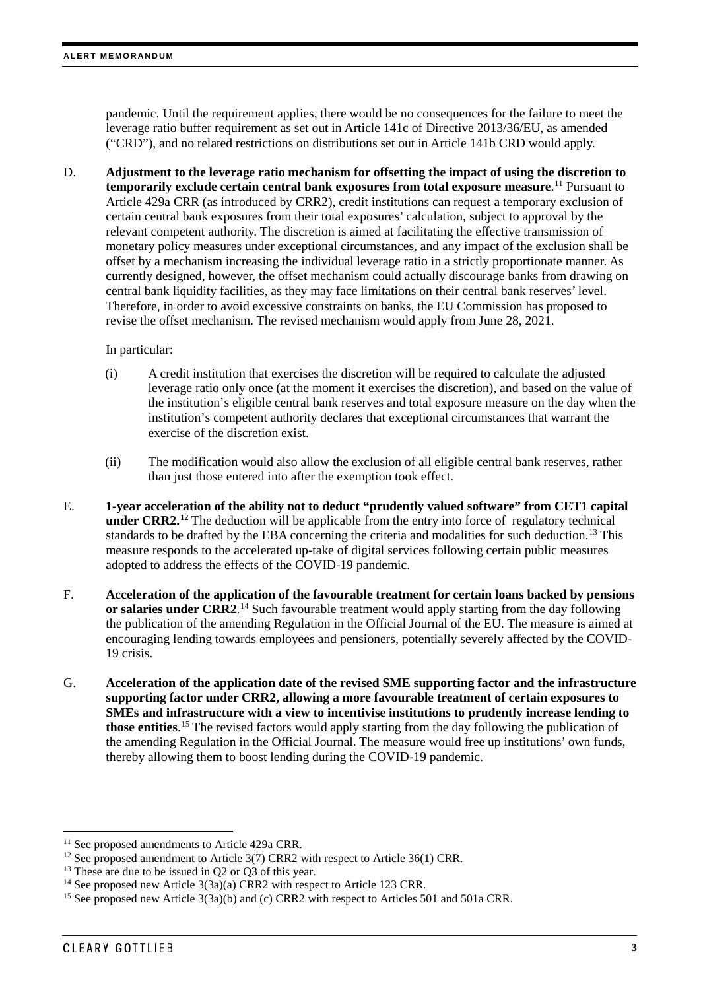pandemic. Until the requirement applies, there would be no consequences for the failure to meet the leverage ratio buffer requirement as set out in Article 141c of Directive 2013/36/EU, as amended ("CRD"), and no related restrictions on distributions set out in Article 141b CRD would apply.

D. **Adjustment to the leverage ratio mechanism for offsetting the impact of using the discretion to temporarily exclude certain central bank exposures from total exposure measure**. [11](#page-2-0) Pursuant to Article 429a CRR (as introduced by CRR2), credit institutions can request a temporary exclusion of certain central bank exposures from their total exposures' calculation, subject to approval by the relevant competent authority. The discretion is aimed at facilitating the effective transmission of monetary policy measures under exceptional circumstances, and any impact of the exclusion shall be offset by a mechanism increasing the individual leverage ratio in a strictly proportionate manner. As currently designed, however, the offset mechanism could actually discourage banks from drawing on central bank liquidity facilities, as they may face limitations on their central bank reserves' level. Therefore, in order to avoid excessive constraints on banks, the EU Commission has proposed to revise the offset mechanism. The revised mechanism would apply from June 28, 2021.

#### In particular:

- (i) A credit institution that exercises the discretion will be required to calculate the adjusted leverage ratio only once (at the moment it exercises the discretion), and based on the value of the institution's eligible central bank reserves and total exposure measure on the day when the institution's competent authority declares that exceptional circumstances that warrant the exercise of the discretion exist.
- (ii) The modification would also allow the exclusion of all eligible central bank reserves, rather than just those entered into after the exemption took effect.
- E. **1-year acceleration of the ability not to deduct "prudently valued software" from CET1 capital under CRR2.**<sup>[12](#page-2-1)</sup> The deduction will be applicable from the entry into force of regulatory technical standards to be drafted by the EBA concerning the criteria and modalities for such deduction.<sup>[13](#page-2-2)</sup> This measure responds to the accelerated up-take of digital services following certain public measures adopted to address the effects of the COVID-19 pandemic.
- F. **Acceleration of the application of the favourable treatment for certain loans backed by pensions or salaries under CRR2**. [14](#page-2-3) Such favourable treatment would apply starting from the day following the publication of the amending Regulation in the Official Journal of the EU. The measure is aimed at encouraging lending towards employees and pensioners, potentially severely affected by the COVID-19 crisis.
- G. **Acceleration of the application date of the revised SME supporting factor and the infrastructure supporting factor under CRR2, allowing a more favourable treatment of certain exposures to SMEs and infrastructure with a view to incentivise institutions to prudently increase lending to those entities**. [15](#page-2-4) The revised factors would apply starting from the day following the publication of the amending Regulation in the Official Journal. The measure would free up institutions' own funds, thereby allowing them to boost lending during the COVID-19 pandemic.

<span id="page-2-0"></span><sup>&</sup>lt;sup>11</sup> See proposed amendments to Article 429a CRR.

<span id="page-2-1"></span><sup>&</sup>lt;sup>12</sup> See proposed amendment to Article  $3(7)$  CRR2 with respect to Article  $36(1)$  CRR.

<span id="page-2-2"></span><sup>&</sup>lt;sup>13</sup> These are due to be issued in Q2 or Q3 of this year.

<span id="page-2-3"></span><sup>&</sup>lt;sup>14</sup> See proposed new Article 3(3a)(a) CRR2 with respect to Article 123 CRR.

<span id="page-2-4"></span><sup>&</sup>lt;sup>15</sup> See proposed new Article 3(3a)(b) and (c) CRR2 with respect to Articles 501 and 501a CRR.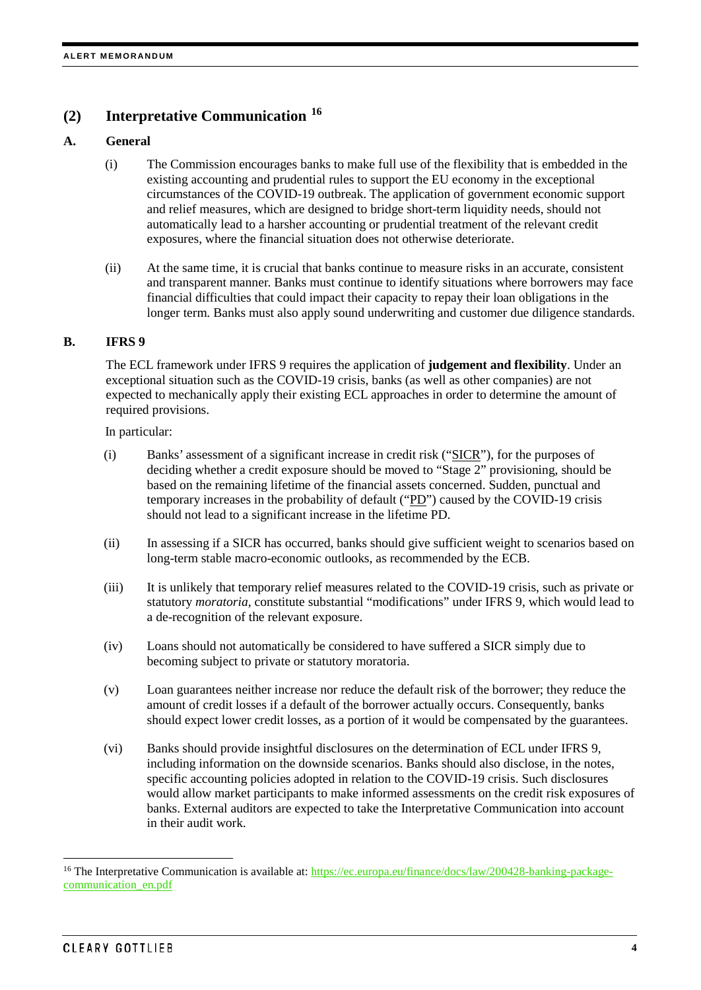# **(2) Interpretative Communication [16](#page-3-0)**

#### **A. General**

- (i) The Commission encourages banks to make full use of the flexibility that is embedded in the existing accounting and prudential rules to support the EU economy in the exceptional circumstances of the COVID-19 outbreak. The application of government economic support and relief measures, which are designed to bridge short-term liquidity needs, should not automatically lead to a harsher accounting or prudential treatment of the relevant credit exposures, where the financial situation does not otherwise deteriorate.
- (ii) At the same time, it is crucial that banks continue to measure risks in an accurate, consistent and transparent manner. Banks must continue to identify situations where borrowers may face financial difficulties that could impact their capacity to repay their loan obligations in the longer term. Banks must also apply sound underwriting and customer due diligence standards.

#### **B. IFRS 9**

The ECL framework under IFRS 9 requires the application of **judgement and flexibility**. Under an exceptional situation such as the COVID-19 crisis, banks (as well as other companies) are not expected to mechanically apply their existing ECL approaches in order to determine the amount of required provisions.

In particular:

- (i) Banks' assessment of a significant increase in credit risk ("SICR"), for the purposes of deciding whether a credit exposure should be moved to "Stage 2" provisioning, should be based on the remaining lifetime of the financial assets concerned. Sudden, punctual and temporary increases in the probability of default ("PD") caused by the COVID-19 crisis should not lead to a significant increase in the lifetime PD.
- (ii) In assessing if a SICR has occurred, banks should give sufficient weight to scenarios based on long-term stable macro-economic outlooks, as recommended by the ECB.
- (iii) It is unlikely that temporary relief measures related to the COVID-19 crisis, such as private or statutory *moratoria*, constitute substantial "modifications" under IFRS 9, which would lead to a de-recognition of the relevant exposure.
- (iv) Loans should not automatically be considered to have suffered a SICR simply due to becoming subject to private or statutory moratoria.
- (v) Loan guarantees neither increase nor reduce the default risk of the borrower; they reduce the amount of credit losses if a default of the borrower actually occurs. Consequently, banks should expect lower credit losses, as a portion of it would be compensated by the guarantees.
- (vi) Banks should provide insightful disclosures on the determination of ECL under IFRS 9, including information on the downside scenarios. Banks should also disclose, in the notes, specific accounting policies adopted in relation to the COVID-19 crisis. Such disclosures would allow market participants to make informed assessments on the credit risk exposures of banks. External auditors are expected to take the Interpretative Communication into account in their audit work.

<span id="page-3-0"></span><sup>&</sup>lt;sup>16</sup> The Interpretative Communication is available at: [https://ec.europa.eu/finance/docs/law/200428-banking-package](https://ec.europa.eu/finance/docs/law/200428-banking-package-communication_en.pdf)[communication\\_en.pdf](https://ec.europa.eu/finance/docs/law/200428-banking-package-communication_en.pdf)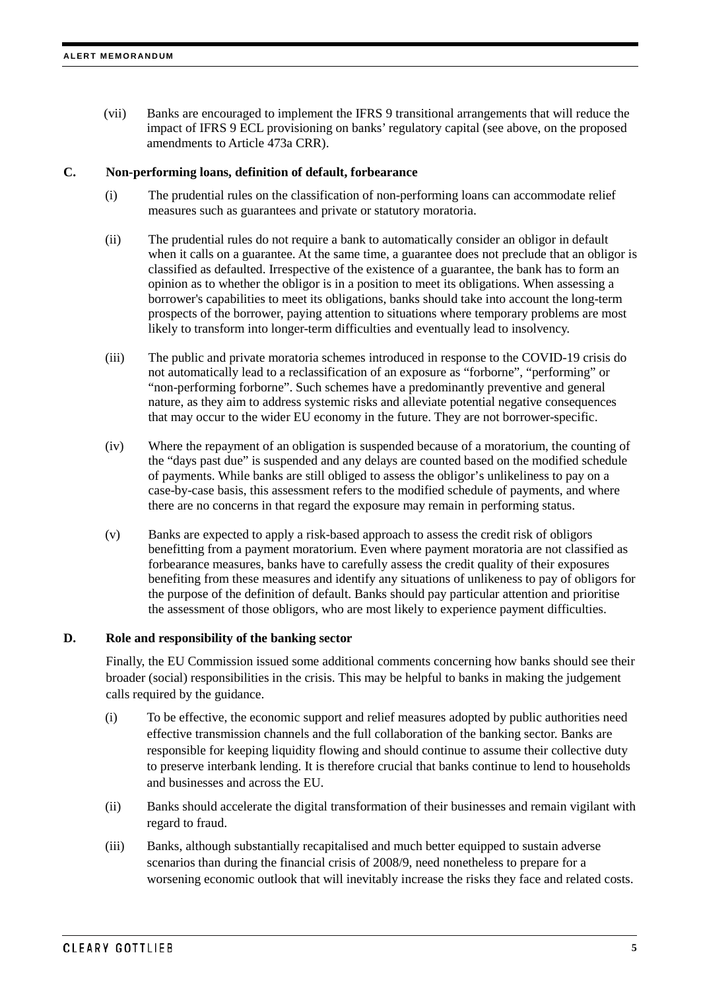(vii) Banks are encouraged to implement the IFRS 9 transitional arrangements that will reduce the impact of IFRS 9 ECL provisioning on banks' regulatory capital (see above, on the proposed amendments to Article 473a CRR).

#### **C. Non-performing loans, definition of default, forbearance**

- (i) The prudential rules on the classification of non-performing loans can accommodate relief measures such as guarantees and private or statutory moratoria.
- (ii) The prudential rules do not require a bank to automatically consider an obligor in default when it calls on a guarantee. At the same time, a guarantee does not preclude that an obligor is classified as defaulted. Irrespective of the existence of a guarantee, the bank has to form an opinion as to whether the obligor is in a position to meet its obligations. When assessing a borrower's capabilities to meet its obligations, banks should take into account the long-term prospects of the borrower, paying attention to situations where temporary problems are most likely to transform into longer-term difficulties and eventually lead to insolvency.
- (iii) The public and private moratoria schemes introduced in response to the COVID-19 crisis do not automatically lead to a reclassification of an exposure as "forborne", "performing" or "non-performing forborne". Such schemes have a predominantly preventive and general nature, as they aim to address systemic risks and alleviate potential negative consequences that may occur to the wider EU economy in the future. They are not borrower-specific.
- (iv) Where the repayment of an obligation is suspended because of a moratorium, the counting of the "days past due" is suspended and any delays are counted based on the modified schedule of payments. While banks are still obliged to assess the obligor's unlikeliness to pay on a case-by-case basis, this assessment refers to the modified schedule of payments, and where there are no concerns in that regard the exposure may remain in performing status.
- (v) Banks are expected to apply a risk-based approach to assess the credit risk of obligors benefitting from a payment moratorium. Even where payment moratoria are not classified as forbearance measures, banks have to carefully assess the credit quality of their exposures benefiting from these measures and identify any situations of unlikeness to pay of obligors for the purpose of the definition of default. Banks should pay particular attention and prioritise the assessment of those obligors, who are most likely to experience payment difficulties.

#### **D. Role and responsibility of the banking sector**

Finally, the EU Commission issued some additional comments concerning how banks should see their broader (social) responsibilities in the crisis. This may be helpful to banks in making the judgement calls required by the guidance.

- (i) To be effective, the economic support and relief measures adopted by public authorities need effective transmission channels and the full collaboration of the banking sector. Banks are responsible for keeping liquidity flowing and should continue to assume their collective duty to preserve interbank lending. It is therefore crucial that banks continue to lend to households and businesses and across the EU.
- (ii) Banks should accelerate the digital transformation of their businesses and remain vigilant with regard to fraud.
- (iii) Banks, although substantially recapitalised and much better equipped to sustain adverse scenarios than during the financial crisis of 2008/9, need nonetheless to prepare for a worsening economic outlook that will inevitably increase the risks they face and related costs.